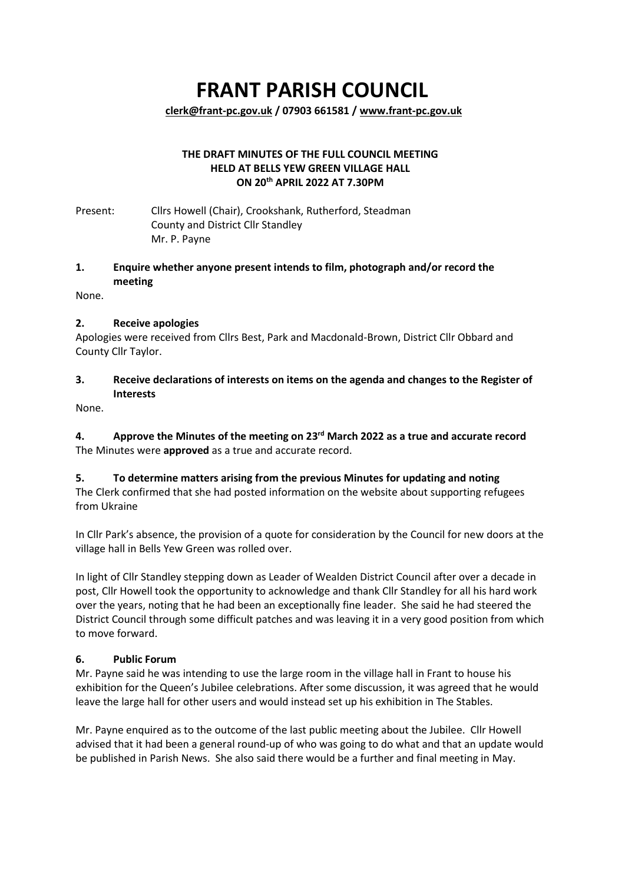# **FRANT PARISH COUNCIL**

**[clerk@frant-pc.gov.uk](mailto:clerk@frant-pc.gov.uk) / 07903 661581 [/ www.frant-pc.gov.uk](http://www.frant-pc.gov.uk/)**

#### **THE DRAFT MINUTES OF THE FULL COUNCIL MEETING HELD AT BELLS YEW GREEN VILLAGE HALL ON 20th APRIL 2022 AT 7.30PM**

Present: Cllrs Howell (Chair), Crookshank, Rutherford, Steadman County and District Cllr Standley Mr. P. Payne

## **1. Enquire whether anyone present intends to film, photograph and/or record the meeting**

None.

## **2. Receive apologies**

Apologies were received from Cllrs Best, Park and Macdonald-Brown, District Cllr Obbard and County Cllr Taylor.

## **3. Receive declarations of interests on items on the agenda and changes to the Register of Interests**

None.

**4. Approve the Minutes of the meeting on 23rd March 2022 as a true and accurate record** The Minutes were **approved** as a true and accurate record.

## **5. To determine matters arising from the previous Minutes for updating and noting**

The Clerk confirmed that she had posted information on the website about supporting refugees from Ukraine

In Cllr Park's absence, the provision of a quote for consideration by the Council for new doors at the village hall in Bells Yew Green was rolled over.

In light of Cllr Standley stepping down as Leader of Wealden District Council after over a decade in post, Cllr Howell took the opportunity to acknowledge and thank Cllr Standley for all his hard work over the years, noting that he had been an exceptionally fine leader. She said he had steered the District Council through some difficult patches and was leaving it in a very good position from which to move forward.

## **6. Public Forum**

Mr. Payne said he was intending to use the large room in the village hall in Frant to house his exhibition for the Queen's Jubilee celebrations. After some discussion, it was agreed that he would leave the large hall for other users and would instead set up his exhibition in The Stables.

Mr. Payne enquired as to the outcome of the last public meeting about the Jubilee. Cllr Howell advised that it had been a general round-up of who was going to do what and that an update would be published in Parish News. She also said there would be a further and final meeting in May.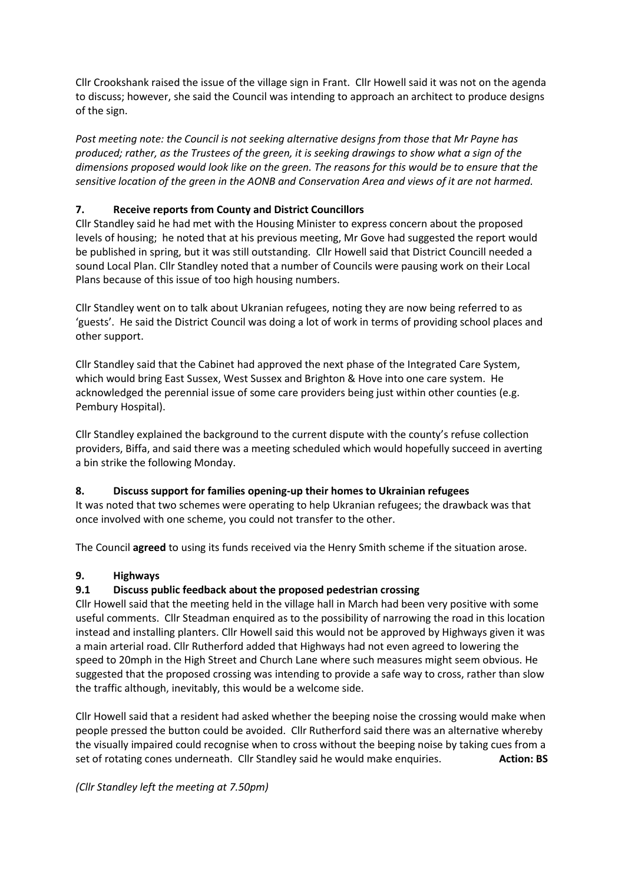Cllr Crookshank raised the issue of the village sign in Frant. Cllr Howell said it was not on the agenda to discuss; however, she said the Council was intending to approach an architect to produce designs of the sign.

*Post meeting note: the Council is not seeking alternative designs from those that Mr Payne has produced; rather, as the Trustees of the green, it is seeking drawings to show what a sign of the dimensions proposed would look like on the green. The reasons for this would be to ensure that the sensitive location of the green in the AONB and Conservation Area and views of it are not harmed.* 

# **7. Receive reports from County and District Councillors**

Cllr Standley said he had met with the Housing Minister to express concern about the proposed levels of housing; he noted that at his previous meeting, Mr Gove had suggested the report would be published in spring, but it was still outstanding. Cllr Howell said that District Councill needed a sound Local Plan. Cllr Standley noted that a number of Councils were pausing work on their Local Plans because of this issue of too high housing numbers.

Cllr Standley went on to talk about Ukranian refugees, noting they are now being referred to as 'guests'. He said the District Council was doing a lot of work in terms of providing school places and other support.

Cllr Standley said that the Cabinet had approved the next phase of the Integrated Care System, which would bring East Sussex, West Sussex and Brighton & Hove into one care system. He acknowledged the perennial issue of some care providers being just within other counties (e.g. Pembury Hospital).

Cllr Standley explained the background to the current dispute with the county's refuse collection providers, Biffa, and said there was a meeting scheduled which would hopefully succeed in averting a bin strike the following Monday.

## **8. Discuss support for families opening-up their homes to Ukrainian refugees**

It was noted that two schemes were operating to help Ukranian refugees; the drawback was that once involved with one scheme, you could not transfer to the other.

The Council **agreed** to using its funds received via the Henry Smith scheme if the situation arose.

## **9. Highways**

## **9.1 Discuss public feedback about the proposed pedestrian crossing**

Cllr Howell said that the meeting held in the village hall in March had been very positive with some useful comments. Cllr Steadman enquired as to the possibility of narrowing the road in this location instead and installing planters. Cllr Howell said this would not be approved by Highways given it was a main arterial road. Cllr Rutherford added that Highways had not even agreed to lowering the speed to 20mph in the High Street and Church Lane where such measures might seem obvious. He suggested that the proposed crossing was intending to provide a safe way to cross, rather than slow the traffic although, inevitably, this would be a welcome side.

Cllr Howell said that a resident had asked whether the beeping noise the crossing would make when people pressed the button could be avoided. Cllr Rutherford said there was an alternative whereby the visually impaired could recognise when to cross without the beeping noise by taking cues from a set of rotating cones underneath. Cllr Standley said he would make enquiries. **Action: BS** 

## *(Cllr Standley left the meeting at 7.50pm)*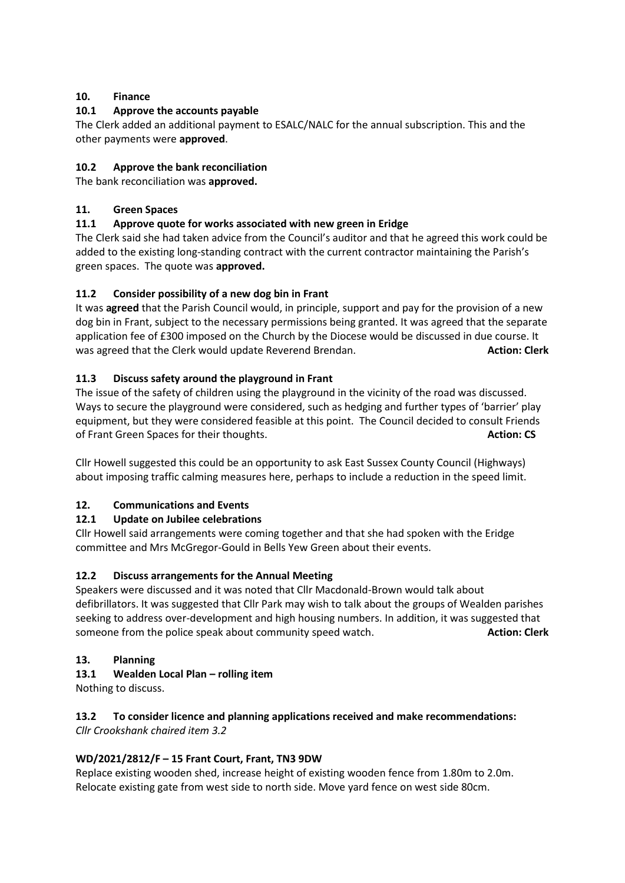# **10. Finance**

# **10.1 Approve the accounts payable**

The Clerk added an additional payment to ESALC/NALC for the annual subscription. This and the other payments were **approved**.

## **10.2 Approve the bank reconciliation**

The bank reconciliation was **approved.**

## **11. Green Spaces**

## **11.1 Approve quote for works associated with new green in Eridge**

The Clerk said she had taken advice from the Council's auditor and that he agreed this work could be added to the existing long-standing contract with the current contractor maintaining the Parish's green spaces. The quote was **approved.**

## **11.2 Consider possibility of a new dog bin in Frant**

It was **agreed** that the Parish Council would, in principle, support and pay for the provision of a new dog bin in Frant, subject to the necessary permissions being granted. It was agreed that the separate application fee of £300 imposed on the Church by the Diocese would be discussed in due course. It was agreed that the Clerk would update Reverend Brendan. **Action: Clerk** and the Clerk

## **11.3 Discuss safety around the playground in Frant**

The issue of the safety of children using the playground in the vicinity of the road was discussed. Ways to secure the playground were considered, such as hedging and further types of 'barrier' play equipment, but they were considered feasible at this point. The Council decided to consult Friends of Frant Green Spaces for their thoughts. **Action: CS** Action: CS

Cllr Howell suggested this could be an opportunity to ask East Sussex County Council (Highways) about imposing traffic calming measures here, perhaps to include a reduction in the speed limit.

## **12. Communications and Events**

## **12.1 Update on Jubilee celebrations**

Cllr Howell said arrangements were coming together and that she had spoken with the Eridge committee and Mrs McGregor-Gould in Bells Yew Green about their events.

## **12.2 Discuss arrangements for the Annual Meeting**

Speakers were discussed and it was noted that Cllr Macdonald-Brown would talk about defibrillators. It was suggested that Cllr Park may wish to talk about the groups of Wealden parishes seeking to address over-development and high housing numbers. In addition, it was suggested that someone from the police speak about community speed watch. **Action: Clerk** and the police speak about community speed watch.

## **13. Planning**

## **13.1 Wealden Local Plan – rolling item**

Nothing to discuss.

#### **13.2 To consider licence and planning applications received and make recommendations:**  *Cllr Crookshank chaired item 3.2*

## **WD/2021/2812/F – 15 Frant Court, Frant, TN3 9DW**

Replace existing wooden shed, increase height of existing wooden fence from 1.80m to 2.0m. Relocate existing gate from west side to north side. Move yard fence on west side 80cm.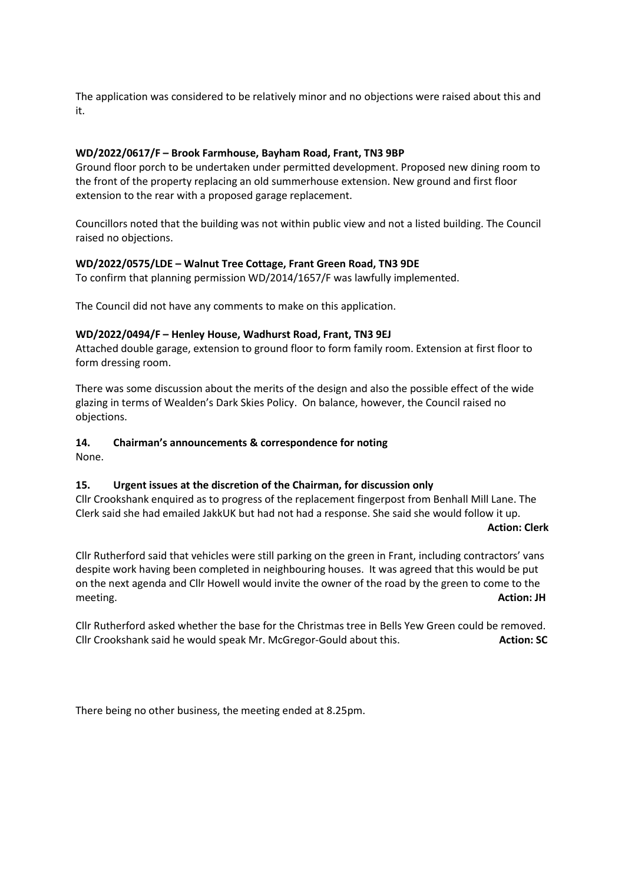The application was considered to be relatively minor and no objections were raised about this and it.

#### **WD/2022/0617/F – Brook Farmhouse, Bayham Road, Frant, TN3 9BP**

Ground floor porch to be undertaken under permitted development. Proposed new dining room to the front of the property replacing an old summerhouse extension. New ground and first floor extension to the rear with a proposed garage replacement.

Councillors noted that the building was not within public view and not a listed building. The Council raised no objections.

#### **WD/2022/0575/LDE – Walnut Tree Cottage, Frant Green Road, TN3 9DE**

To confirm that planning permission WD/2014/1657/F was lawfully implemented.

The Council did not have any comments to make on this application.

#### **WD/2022/0494/F – Henley House, Wadhurst Road, Frant, TN3 9EJ**

Attached double garage, extension to ground floor to form family room. Extension at first floor to form dressing room.

There was some discussion about the merits of the design and also the possible effect of the wide glazing in terms of Wealden's Dark Skies Policy. On balance, however, the Council raised no objections.

#### **14. Chairman's announcements & correspondence for noting**

None.

#### **15. Urgent issues at the discretion of the Chairman, for discussion only**

Cllr Crookshank enquired as to progress of the replacement fingerpost from Benhall Mill Lane. The Clerk said she had emailed JakkUK but had not had a response. She said she would follow it up.  **Action: Clerk**

Cllr Rutherford said that vehicles were still parking on the green in Frant, including contractors' vans despite work having been completed in neighbouring houses. It was agreed that this would be put on the next agenda and Cllr Howell would invite the owner of the road by the green to come to the meeting. **Action: JH**

Cllr Rutherford asked whether the base for the Christmas tree in Bells Yew Green could be removed. Cllr Crookshank said he would speak Mr. McGregor-Gould about this. **Action: SC** Action: SC

There being no other business, the meeting ended at 8.25pm.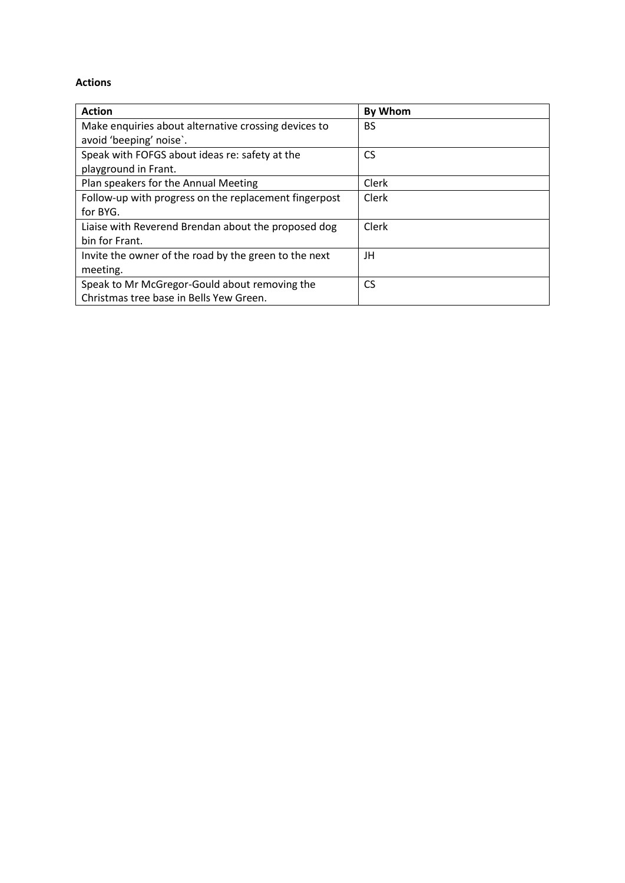#### **Actions**

| <b>Action</b>                                         | <b>By Whom</b> |
|-------------------------------------------------------|----------------|
| Make enquiries about alternative crossing devices to  | BS             |
| avoid 'beeping' noise'.                               |                |
| Speak with FOFGS about ideas re: safety at the        | CS             |
| playground in Frant.                                  |                |
| Plan speakers for the Annual Meeting                  | Clerk          |
| Follow-up with progress on the replacement fingerpost | Clerk          |
| for BYG.                                              |                |
| Liaise with Reverend Brendan about the proposed dog   | Clerk          |
| bin for Frant.                                        |                |
| Invite the owner of the road by the green to the next | JH             |
| meeting.                                              |                |
| Speak to Mr McGregor-Gould about removing the         | <b>CS</b>      |
| Christmas tree base in Bells Yew Green.               |                |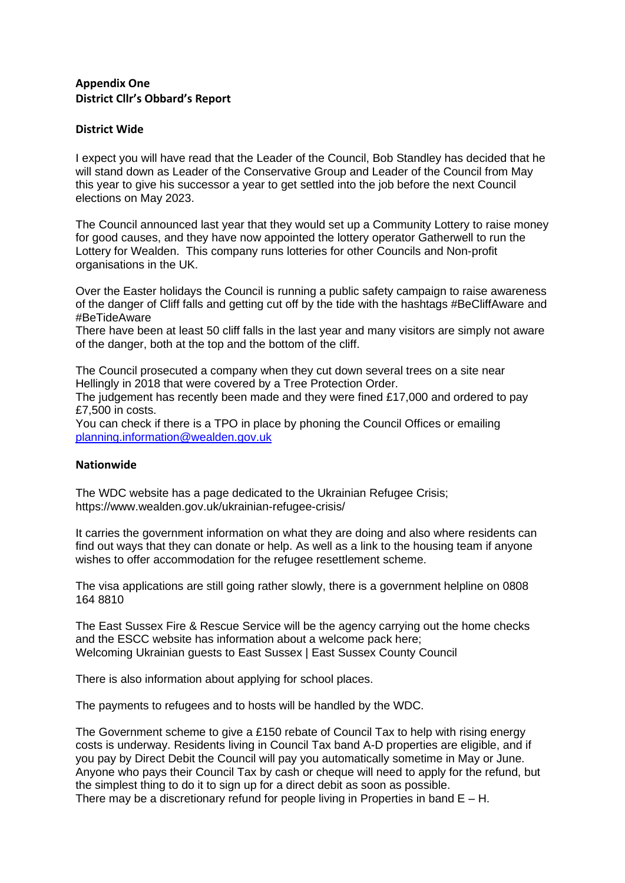# **Appendix One District Cllr's Obbard's Report**

#### **District Wide**

I expect you will have read that the Leader of the Council, Bob Standley has decided that he will stand down as Leader of the Conservative Group and Leader of the Council from May this year to give his successor a year to get settled into the job before the next Council elections on May 2023.

The Council announced last year that they would set up a Community Lottery to raise money for good causes, and they have now appointed the lottery operator Gatherwell to run the Lottery for Wealden. This company runs lotteries for other Councils and Non-profit organisations in the UK.

Over the Easter holidays the Council is running a public safety campaign to raise awareness of the danger of Cliff falls and getting cut off by the tide with the hashtags #BeCliffAware and #BeTideAware

There have been at least 50 cliff falls in the last year and many visitors are simply not aware of the danger, both at the top and the bottom of the cliff.

The Council prosecuted a company when they cut down several trees on a site near Hellingly in 2018 that were covered by a Tree Protection Order.

The judgement has recently been made and they were fined £17,000 and ordered to pay £7,500 in costs.

You can check if there is a TPO in place by phoning the Council Offices or emailing [planning.information@wealden.gov.uk](mailto:planning.information@wealden.gov.uk)

#### **Nationwide**

The WDC website has a page dedicated to the Ukrainian Refugee Crisis; <https://www.wealden.gov.uk/ukrainian-refugee-crisis/>

It carries the government information on what they are doing and also where residents can find out ways that they can donate or help. As well as a link to the housing team if anyone wishes to offer accommodation for the refugee resettlement scheme.

The visa applications are still going rather slowly, there is a government helpline on 0808 164 8810

The East Sussex Fire & Rescue Service will be the agency carrying out the home checks and the ESCC website has information about a welcome pack here; [Welcoming Ukrainian guests to East Sussex | East Sussex County Council](https://new.eastsussex.gov.uk/your-council/ukraine-crisis/hosting-refugees)

There is also information about applying for school places.

The payments to refugees and to hosts will be handled by the WDC.

The Government scheme to give a £150 rebate of Council Tax to help with rising energy costs is underway. Residents living in Council Tax band A-D properties are eligible, and if you pay by Direct Debit the Council will pay you automatically sometime in May or June. Anyone who pays their Council Tax by cash or cheque will need to apply for the refund, but the simplest thing to do it to sign up for a direct debit as soon as possible. There may be a discretionary refund for people living in Properties in band  $E - H$ .